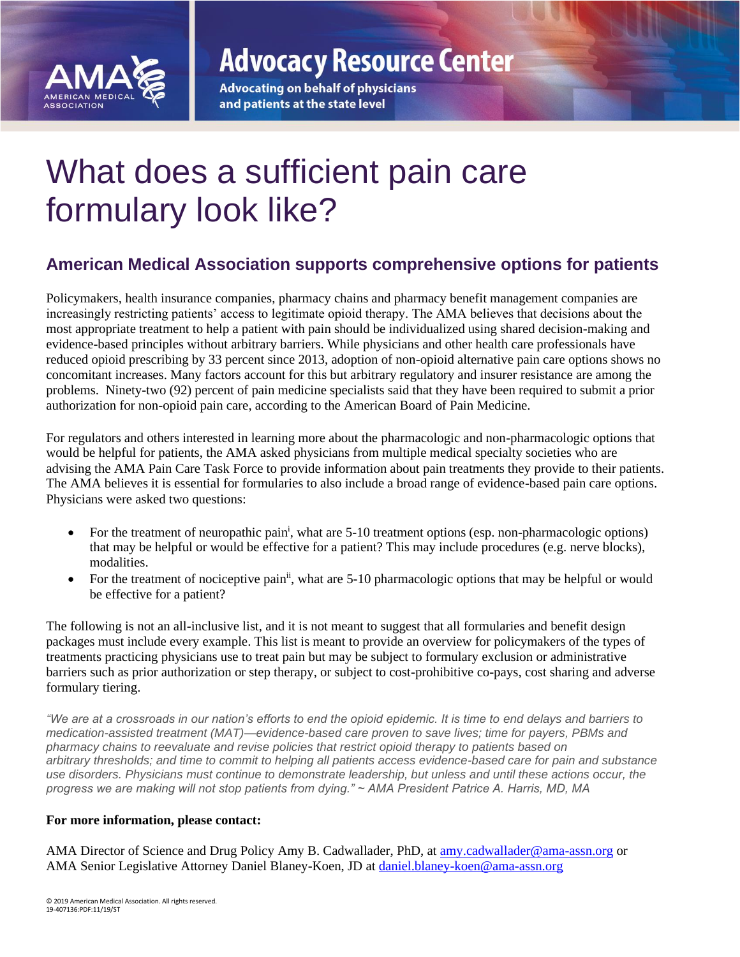

**Advocacy Resource Center** 

**Advocating on behalf of physicians** and patients at the state level

# What does a sufficient pain care formulary look like?

## **American Medical Association supports comprehensive options for patients**

Policymakers, health insurance companies, pharmacy chains and pharmacy benefit management companies are increasingly restricting patients' access to legitimate opioid therapy. The AMA believes that decisions about the most appropriate treatment to help a patient with pain should be individualized using shared decision-making and evidence-based principles without arbitrary barriers. While physicians and other health care professionals have reduced opioid prescribing by 33 percent since 2013, adoption of non-opioid alternative pain care options shows no concomitant increases. Many factors account for this but arbitrary regulatory and insurer resistance are among the problems. Ninety-two (92) percent of pain medicine specialists said that they have been required to submit a prior authorization for non-opioid pain care, according to the American Board of Pain Medicine.

For regulators and others interested in learning more about the pharmacologic and non-pharmacologic options that would be helpful for patients, the AMA asked physicians from multiple medical specialty societies who are advising the AMA Pain Care Task Force to provide information about pain treatments they provide to their patients. The AMA believes it is essential for formularies to also include a broad range of evidence-based pain care options. Physicians were asked two questions:

- For the treatment of neuropathic pain<sup>i</sup>, what are 5-10 treatment options (esp. non-pharmacologic options) that may be helpful or would be effective for a patient? This may include procedures (e.g. nerve blocks), modalities.
- For the treatment of nociceptive pain<sup>ii</sup>, what are 5-10 pharmacologic options that may be helpful or would be effective for a patient?

The following is not an all-inclusive list, and it is not meant to suggest that all formularies and benefit design packages must include every example. This list is meant to provide an overview for policymakers of the types of treatments practicing physicians use to treat pain but may be subject to formulary exclusion or administrative barriers such as prior authorization or step therapy, or subject to cost-prohibitive co-pays, cost sharing and adverse formulary tiering.

*"We are at a crossroads in our nation's efforts to end the opioid epidemic. It is time to end delays and barriers to medication-assisted treatment (MAT)—evidence-based care proven to save lives; time for payers, PBMs and pharmacy chains to reevaluate and revise policies that restrict opioid therapy to patients based on arbitrary thresholds; and time to commit to helping all patients access evidence-based care for pain and substance use disorders. Physicians must continue to demonstrate leadership, but unless and until these actions occur, the progress we are making will not stop patients from dying." ~ AMA President Patrice A. Harris, MD, MA*

### **For more information, please contact:**

AMA Director of Science and Drug Policy Amy B. Cadwallader, PhD, at [amy.cadwallader@ama-assn.org](mailto:amy.cadwallader@ama-assn.org) or AMA Senior Legislative Attorney Daniel Blaney-Koen, JD at [daniel.blaney-koen@ama-assn.org](mailto:daniel.blaney-koen@ama-assn.org)